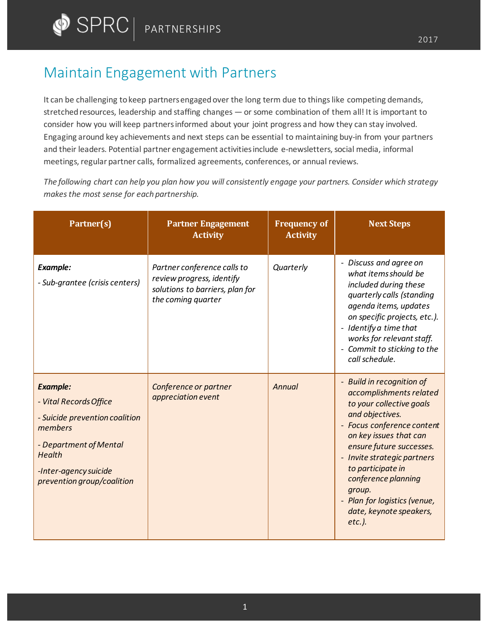## Maintain Engagement with Partners

It can be challenging to keep partners engaged over the long term due to things like competing demands, stretched resources, leadership and staffing changes — or some combination of them all! It is important to consider how you will keep partners informed about your joint progress and how they can stay involved. Engaging around key achievements and next steps can be essential to maintaining buy-in from your partners and their leaders. Potential partner engagement activities include e-newsletters, social media, informal meetings, regular partner calls, formalized agreements, conferences, or annual reviews.

*The following chart can help you plan how you will consistently engage your partners. Consider which strategy makes the most sense for each partnership.*

| Partner(s)                                                                                                                                                                               | <b>Partner Engagement</b><br><b>Activity</b>                                                                      | <b>Frequency of</b><br><b>Activity</b> | <b>Next Steps</b>                                                                                                                                                                                                                                                                                                                                    |
|------------------------------------------------------------------------------------------------------------------------------------------------------------------------------------------|-------------------------------------------------------------------------------------------------------------------|----------------------------------------|------------------------------------------------------------------------------------------------------------------------------------------------------------------------------------------------------------------------------------------------------------------------------------------------------------------------------------------------------|
| <b>Example:</b><br>- Sub-grantee (crisis centers)                                                                                                                                        | Partner conference calls to<br>review progress, identify<br>solutions to barriers, plan for<br>the coming quarter | Quarterly                              | - Discuss and agree on<br>what items should be<br>included during these<br>quarterly calls (standing<br>agenda items, updates<br>on specific projects, etc.).<br>- Identify a time that<br>works for relevant staff.<br>- Commit to sticking to the<br>call schedule.                                                                                |
| <b>Example:</b><br>- Vital Records Office<br>- Suicide prevention coalition<br>members<br>- Department of Mental<br><b>Health</b><br>-Inter-agency suicide<br>prevention group/coalition | Conference or partner<br>appreciation event                                                                       | Annual                                 | - Build in recognition of<br>accomplishments related<br>to your collective goals<br>and objectives.<br>- Focus conference content<br>on key issues that can<br>ensure future successes.<br>- Invite strategic partners<br>to participate in<br>conference planning<br>group.<br>- Plan for logistics (venue,<br>date, keynote speakers,<br>$etc.$ ). |